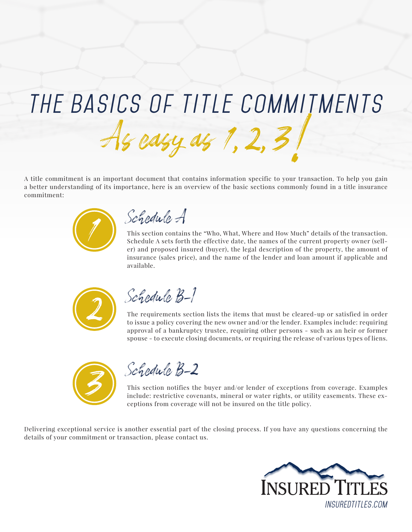## *The Basics of Title Commitments*

A title commitment is an important document that contains information specific to your transaction. To help you gain a better understanding of its importance, here is an overview of the basic sections commonly found in a title insurance commitment:



*Schedule A*

This section contains the "Who, What, Where and How Much" details of the transaction. Schedule A sets forth the effective date, the names of the current property owner (seller) and proposed insured (buyer), the legal description of the property, the amount of insurance (sales price), and the name of the lender and loan amount if applicable and available.



*Schedule B-I*

The requirements section lists the items that must be cleared-up or satisfied in order to issue a policy covering the new owner and/or the lender. Examples include: requiring approval of a bankruptcy trustee, requiring other persons - such as an heir or former spouse - to execute closing documents, or requiring the release of various types of liens.



*Schedule B-2*

This section notifies the buyer and/or lender of exceptions from coverage. Examples include: restrictive covenants, mineral or water rights, or utility easements. These exceptions from coverage will not be insured on the title policy.

Delivering exceptional service is another essential part of the closing process. If you have any questions concerning the details of your commitment or transaction, please contact us.